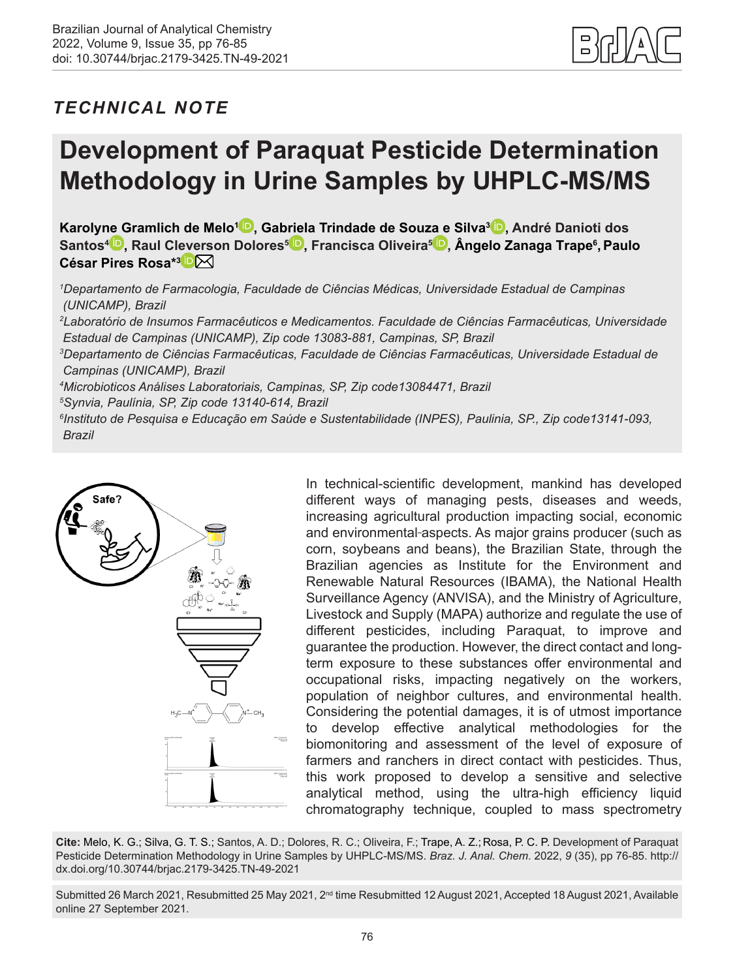

# *TECHNICAL NOTE*

# **Development of Paraquat Pesticide Determination Methodology in Urine Samples by UHPLC-MS/MS**

**Karoly[ne G](https://orcid.org/0000-0002-1418-6702)ramlich de Melo1 [,](https://orcid.org/0000-0002-4468-653X) Ga[briel](https://orcid.org/0000-0001-9000-5216)a Trindade de Sou[za e](https://orcid.org/0000-0003-2088-2162) Silva[3](https://orcid.org/0000-0002-1170-9678) , André Danioti dos Santos4 , Raul Cl[eve](https://orcid.org/0000-0002-5896-0093)[rso](mailto:paulo.rosa%40fcf.unicamp.br?subject=)n Dolores5 , Francisca Oliveira5 , Ângelo Zanaga Trape6 ,Paulo César Pires Rosa\*3**

*1 Departamento de Farmacologia, Faculdade de Ciências Médicas, Universidade Estadual de Campinas (UNICAMP), Brazil*

*2 Laboratório de Insumos Farmacêuticos e Medicamentos. Faculdade de Ciências Farmacêuticas, Universidade Estadual de Campinas (UNICAMP), Zip code 13083-881, Campinas, SP, Brazil*

*3 Departamento de Ciências Farmacêuticas, Faculdade de Ciências Farmacêuticas, Universidade Estadual de Campinas (UNICAMP), Brazil*

*4 Microbioticos Análises Laboratoriais, Campinas, SP, Zip code13084471, Brazil*

*5 Synvia, Paulínia, SP, Zip code 13140-614, Brazil*

*6 Instituto de Pesquisa e Educação em Saúde e Sustentabilidade (INPES), Paulinia, SP., Zip code13141-093, Brazil* 



In technical-scientific development, mankind has developed different ways of managing pests, diseases and weeds, increasing agricultural production impacting social, economic and environmental-aspects. As major grains producer (such as corn, soybeans and beans), the Brazilian State, through the Brazilian agencies as Institute for the Environment and Renewable Natural Resources (IBAMA), the National Health Surveillance Agency (ANVISA), and the Ministry of Agriculture, Livestock and Supply (MAPA) authorize and regulate the use of different pesticides, including Paraquat, to improve and guarantee the production. However, the direct contact and longterm exposure to these substances offer environmental and occupational risks, impacting negatively on the workers, population of neighbor cultures, and environmental health. Considering the potential damages, it is of utmost importance to develop effective analytical methodologies for the biomonitoring and assessment of the level of exposure of farmers and ranchers in direct contact with pesticides. Thus, this work proposed to develop a sensitive and selective analytical method, using the ultra-high efficiency liquid chromatography technique, coupled to mass spectrometry

**Cite:** Melo, K. G.; Silva, G. T. S.; Santos, A. D.; Dolores, R. C.; Oliveira, F.; Trape, A. Z.; Rosa, P. C. P. Development of Paraquat Pesticide Determination Methodology in Urine Samples by UHPLC-MS/MS. *Braz. J. Anal. Chem*. 2022, *9* (35), pp 76-85. [http://](http://dx.doi.org/10.30744/brjac.2179-3425.TN-49-2021) [dx.doi.org/10.30744/brjac.2179-3425.TN-49-2021](http://dx.doi.org/10.30744/brjac.2179-3425.TN-49-2021)

Submitted 26 March 2021, Resubmitted 25 May 2021, 2<sup>nd</sup> time Resubmitted 12 August 2021, Accepted 18 August 2021, Available online 27 September 2021.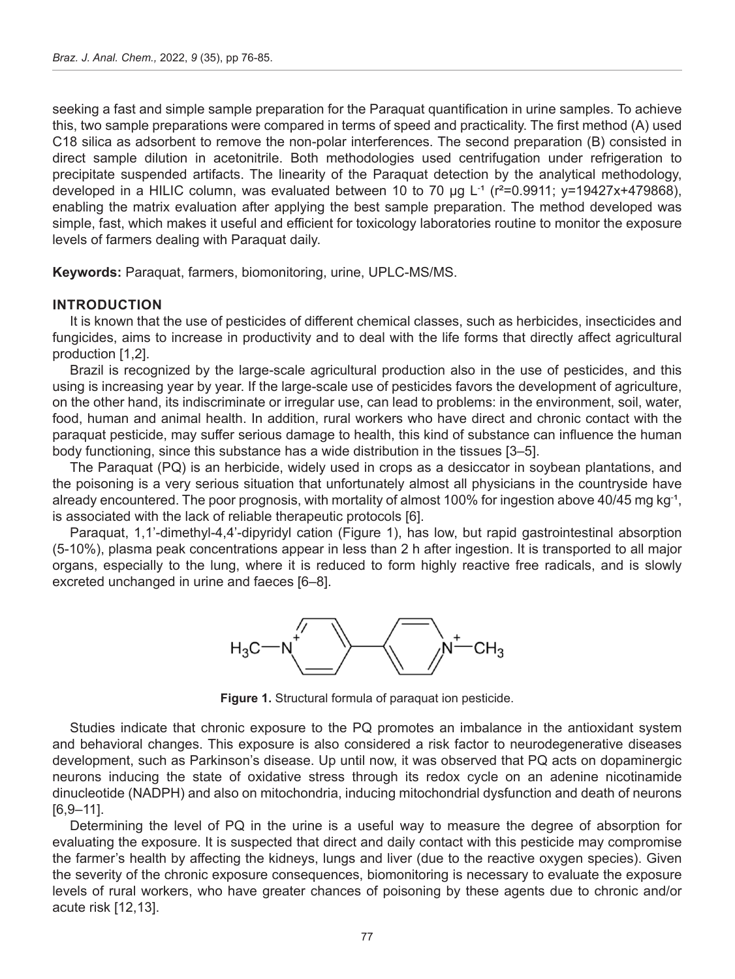seeking a fast and simple sample preparation for the Paraquat quantification in urine samples. To achieve this, two sample preparations were compared in terms of speed and practicality. The first method (A) used C18 silica as adsorbent to remove the non-polar interferences. The second preparation (B) consisted in direct sample dilution in acetonitrile. Both methodologies used centrifugation under refrigeration to precipitate suspended artifacts. The linearity of the Paraquat detection by the analytical methodology, developed in a HILIC column, was evaluated between 10 to 70 µg L<sup>-1</sup> (r<sup>2</sup>=0.9911; y=19427x+479868), enabling the matrix evaluation after applying the best sample preparation. The method developed was simple, fast, which makes it useful and efficient for toxicology laboratories routine to monitor the exposure levels of farmers dealing with Paraquat daily.

**Keywords:** Paraquat, farmers, biomonitoring, urine, UPLC-MS/MS.

#### **INTRODUCTION**

It is known that the use of pesticides of different chemical classes, such as herbicides, insecticides and fungicides, aims to increase in productivity and to deal with the life forms that directly affect agricultural production [1,2].

Brazil is recognized by the large-scale agricultural production also in the use of pesticides, and this using is increasing year by year. If the large-scale use of pesticides favors the development of agriculture, on the other hand, its indiscriminate or irregular use, can lead to problems: in the environment, soil, water, food, human and animal health. In addition, rural workers who have direct and chronic contact with the paraquat pesticide, may suffer serious damage to health, this kind of substance can influence the human body functioning, since this substance has a wide distribution in the tissues [3–5].

The Paraquat (PQ) is an herbicide, widely used in crops as a desiccator in soybean plantations, and the poisoning is a very serious situation that unfortunately almost all physicians in the countryside have already encountered. The poor prognosis, with mortality of almost 100% for ingestion above 40/45 mg kg<sup>-1</sup>, is associated with the lack of reliable therapeutic protocols [6].

Paraquat, 1,1'-dimethyl-4,4'-dipyridyl cation (Figure 1), has low, but rapid gastrointestinal absorption (5-10%), plasma peak concentrations appear in less than 2 h after ingestion. It is transported to all major organs, especially to the lung, where it is reduced to form highly reactive free radicals, and is slowly excreted unchanged in urine and faeces [6–8].



**Figure 1.** Structural formula of paraquat ion pesticide.

Studies indicate that chronic exposure to the PQ promotes an imbalance in the antioxidant system and behavioral changes. This exposure is also considered a risk factor to neurodegenerative diseases development, such as Parkinson's disease. Up until now, it was observed that PQ acts on dopaminergic neurons inducing the state of oxidative stress through its redox cycle on an adenine nicotinamide dinucleotide (NADPH) and also on mitochondria, inducing mitochondrial dysfunction and death of neurons [6,9–11].

Determining the level of PQ in the urine is a useful way to measure the degree of absorption for evaluating the exposure. It is suspected that direct and daily contact with this pesticide may compromise the farmer's health by affecting the kidneys, lungs and liver (due to the reactive oxygen species). Given the severity of the chronic exposure consequences, biomonitoring is necessary to evaluate the exposure levels of rural workers, who have greater chances of poisoning by these agents due to chronic and/or acute risk [12,13].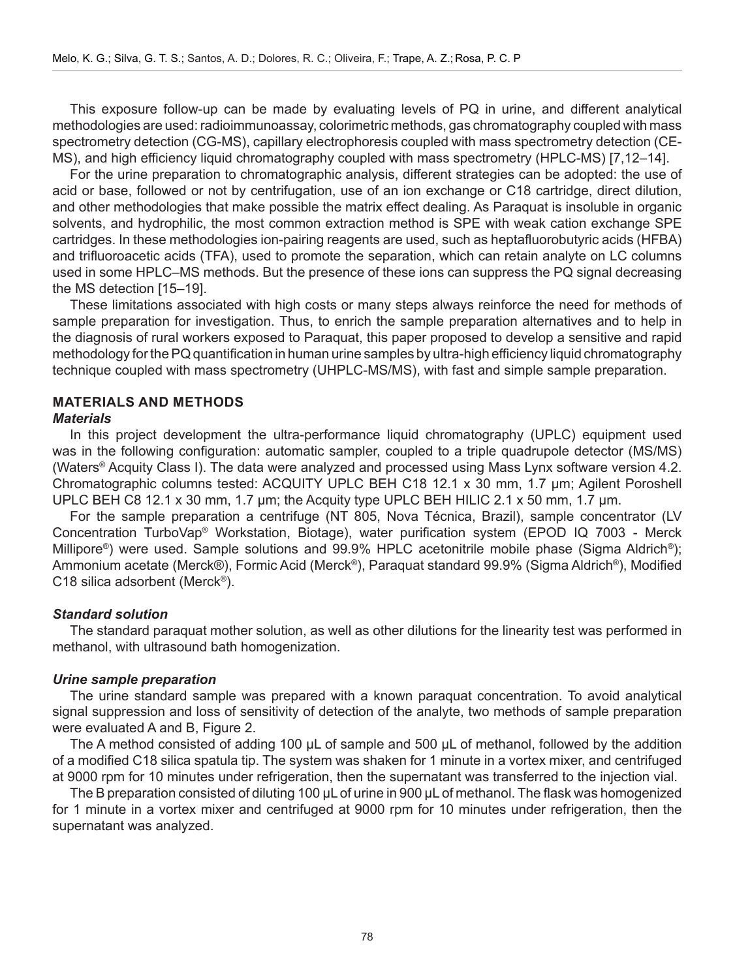This exposure follow-up can be made by evaluating levels of PQ in urine, and different analytical methodologies are used: radioimmunoassay, colorimetric methods, gas chromatography coupled with mass spectrometry detection (CG-MS), capillary electrophoresis coupled with mass spectrometry detection (CE-MS), and high efficiency liquid chromatography coupled with mass spectrometry (HPLC-MS) [7,12–14].

For the urine preparation to chromatographic analysis, different strategies can be adopted: the use of acid or base, followed or not by centrifugation, use of an ion exchange or C18 cartridge, direct dilution, and other methodologies that make possible the matrix effect dealing. As Paraquat is insoluble in organic solvents, and hydrophilic, the most common extraction method is SPE with weak cation exchange SPE cartridges. In these methodologies ion-pairing reagents are used, such as heptafluorobutyric acids (HFBA) and trifluoroacetic acids (TFA), used to promote the separation, which can retain analyte on LC columns used in some HPLC–MS methods. But the presence of these ions can suppress the PQ signal decreasing the MS detection [15–19].

These limitations associated with high costs or many steps always reinforce the need for methods of sample preparation for investigation. Thus, to enrich the sample preparation alternatives and to help in the diagnosis of rural workers exposed to Paraquat, this paper proposed to develop a sensitive and rapid methodology for the PQ quantification in human urine samples by ultra-high efficiency liquid chromatography technique coupled with mass spectrometry (UHPLC-MS/MS), with fast and simple sample preparation.

# **MATERIALS AND METHODS**

#### *Materials*

In this project development the ultra-performance liquid chromatography (UPLC) equipment used was in the following configuration: automatic sampler, coupled to a triple quadrupole detector (MS/MS) (Waters® Acquity Class I). The data were analyzed and processed using Mass Lynx software version 4.2. Chromatographic columns tested: ACQUITY UPLC BEH C18 12.1 x 30 mm, 1.7 µm; Agilent Poroshell UPLC BEH C8 12.1 x 30 mm, 1.7 µm; the Acquity type UPLC BEH HILIC 2.1 x 50 mm, 1.7 µm.

For the sample preparation a centrifuge (NT 805, Nova Técnica, Brazil), sample concentrator (LV Concentration TurboVap® Workstation, Biotage), water purification system (EPOD IQ 7003 - Merck Millipore®) were used. Sample solutions and 99.9% HPLC acetonitrile mobile phase (Sigma Aldrich®); Ammonium acetate (Merck®), Formic Acid (Merck®), Paraquat standard 99.9% (Sigma Aldrich®), Modified C18 silica adsorbent (Merck®).

#### *Standard solution*

The standard paraquat mother solution, as well as other dilutions for the linearity test was performed in methanol, with ultrasound bath homogenization.

#### *Urine sample preparation*

The urine standard sample was prepared with a known paraquat concentration. To avoid analytical signal suppression and loss of sensitivity of detection of the analyte, two methods of sample preparation were evaluated A and B, Figure 2.

The A method consisted of adding 100 μL of sample and 500 μL of methanol, followed by the addition of a modified C18 silica spatula tip. The system was shaken for 1 minute in a vortex mixer, and centrifuged at 9000 rpm for 10 minutes under refrigeration, then the supernatant was transferred to the injection vial.

The B preparation consisted of diluting 100 μL of urine in 900 μL of methanol. The flask was homogenized for 1 minute in a vortex mixer and centrifuged at 9000 rpm for 10 minutes under refrigeration, then the supernatant was analyzed.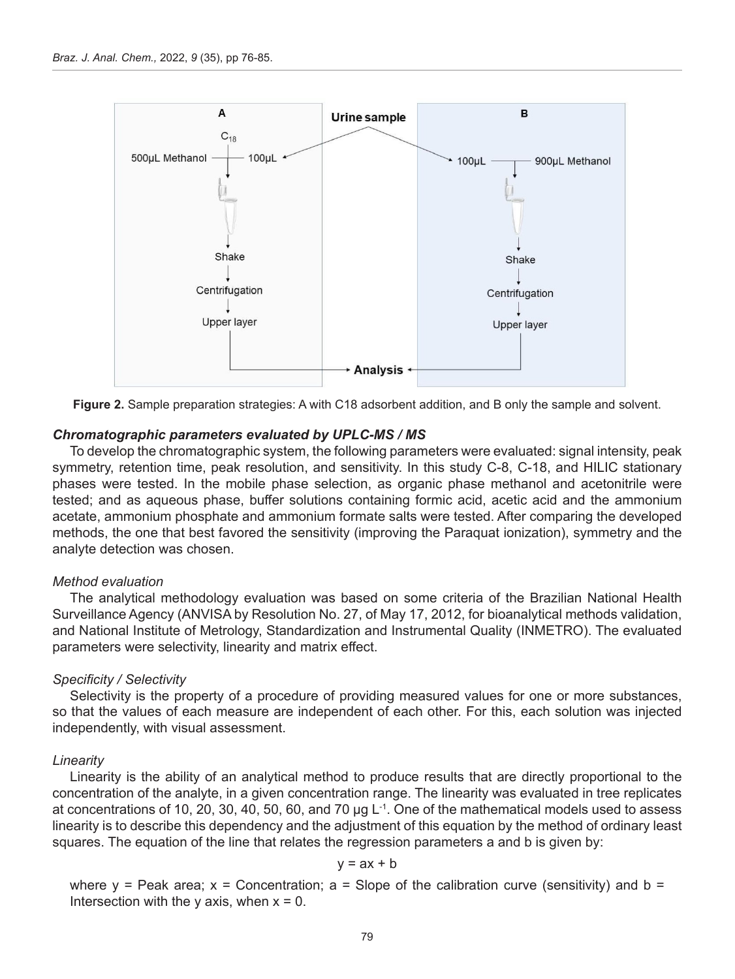

**Figure 2.** Sample preparation strategies: A with C18 adsorbent addition, and B only the sample and solvent.

#### *Chromatographic parameters evaluated by UPLC-MS / MS*

To develop the chromatographic system, the following parameters were evaluated: signal intensity, peak symmetry, retention time, peak resolution, and sensitivity. In this study C-8, C-18, and HILIC stationary phases were tested. In the mobile phase selection, as organic phase methanol and acetonitrile were tested; and as aqueous phase, buffer solutions containing formic acid, acetic acid and the ammonium acetate, ammonium phosphate and ammonium formate salts were tested. After comparing the developed methods, the one that best favored the sensitivity (improving the Paraquat ionization), symmetry and the analyte detection was chosen.

#### *Method evaluation*

The analytical methodology evaluation was based on some criteria of the Brazilian National Health Surveillance Agency (ANVISA by Resolution No. 27, of May 17, 2012, for bioanalytical methods validation, and National Institute of Metrology, Standardization and Instrumental Quality (INMETRO). The evaluated parameters were selectivity, linearity and matrix effect.

#### *Specificity / Selectivity*

Selectivity is the property of a procedure of providing measured values for one or more substances, so that the values of each measure are independent of each other. For this, each solution was injected independently, with visual assessment.

#### *Linearity*

Linearity is the ability of an analytical method to produce results that are directly proportional to the concentration of the analyte, in a given concentration range. The linearity was evaluated in tree replicates at concentrations of 10, 20, 30, 40, 50, 60, and 70 µg L<sup>-1</sup>. One of the mathematical models used to assess linearity is to describe this dependency and the adjustment of this equation by the method of ordinary least squares. The equation of the line that relates the regression parameters a and b is given by:

$$
y = ax + b
$$

where y = Peak area;  $x =$  Concentration;  $a =$  Slope of the calibration curve (sensitivity) and b = Intersection with the y axis, when  $x = 0$ .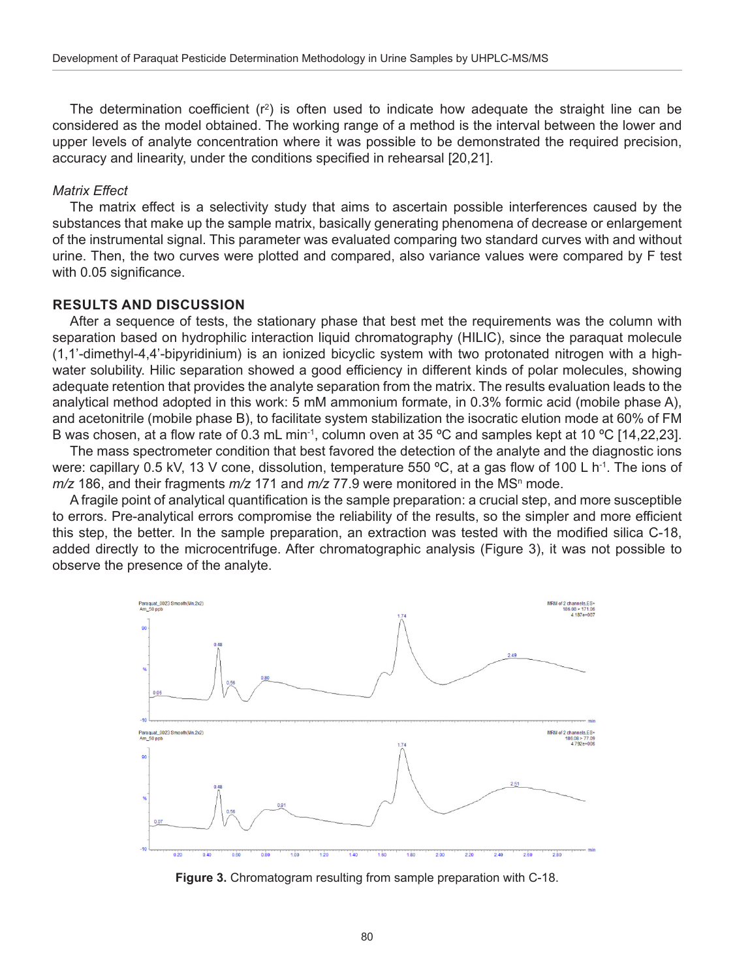The determination coefficient (r<sup>2</sup>) is often used to indicate how adequate the straight line can be considered as the model obtained. The working range of a method is the interval between the lower and upper levels of analyte concentration where it was possible to be demonstrated the required precision, accuracy and linearity, under the conditions specified in rehearsal [20,21].

#### *Matrix Effect*

The matrix effect is a selectivity study that aims to ascertain possible interferences caused by the substances that make up the sample matrix, basically generating phenomena of decrease or enlargement of the instrumental signal. This parameter was evaluated comparing two standard curves with and without urine. Then, the two curves were plotted and compared, also variance values were compared by F test with 0.05 significance.

#### **RESULTS AND DISCUSSION**

After a sequence of tests, the stationary phase that best met the requirements was the column with separation based on hydrophilic interaction liquid chromatography (HILIC), since the paraquat molecule (1,1'-dimethyl-4,4'-bipyridinium) is an ionized bicyclic system with two protonated nitrogen with a highwater solubility. Hilic separation showed a good efficiency in different kinds of polar molecules, showing adequate retention that provides the analyte separation from the matrix. The results evaluation leads to the analytical method adopted in this work: 5 mM ammonium formate, in 0.3% formic acid (mobile phase A), and acetonitrile (mobile phase B), to facilitate system stabilization the isocratic elution mode at 60% of FM B was chosen, at a flow rate of 0.3 mL min<sup>-1</sup>, column oven at 35 °C and samples kept at 10 °C [14,22,23].

The mass spectrometer condition that best favored the detection of the analyte and the diagnostic ions were: capillary 0.5 kV, 13 V cone, dissolution, temperature 550 °C, at a gas flow of 100 L h<sup>-1</sup>. The ions of *m/*z 186, and their fragments *m/z* 171 and *m/z* 77.9 were monitored in the MS<sup>n</sup> mode.

A fragile point of analytical quantification is the sample preparation: a crucial step, and more susceptible to errors. Pre-analytical errors compromise the reliability of the results, so the simpler and more efficient this step, the better. In the sample preparation, an extraction was tested with the modified silica C-18, added directly to the microcentrifuge. After chromatographic analysis (Figure 3), it was not possible to observe the presence of the analyte.

![](_page_4_Figure_8.jpeg)

**Figure 3.** Chromatogram resulting from sample preparation with C-18.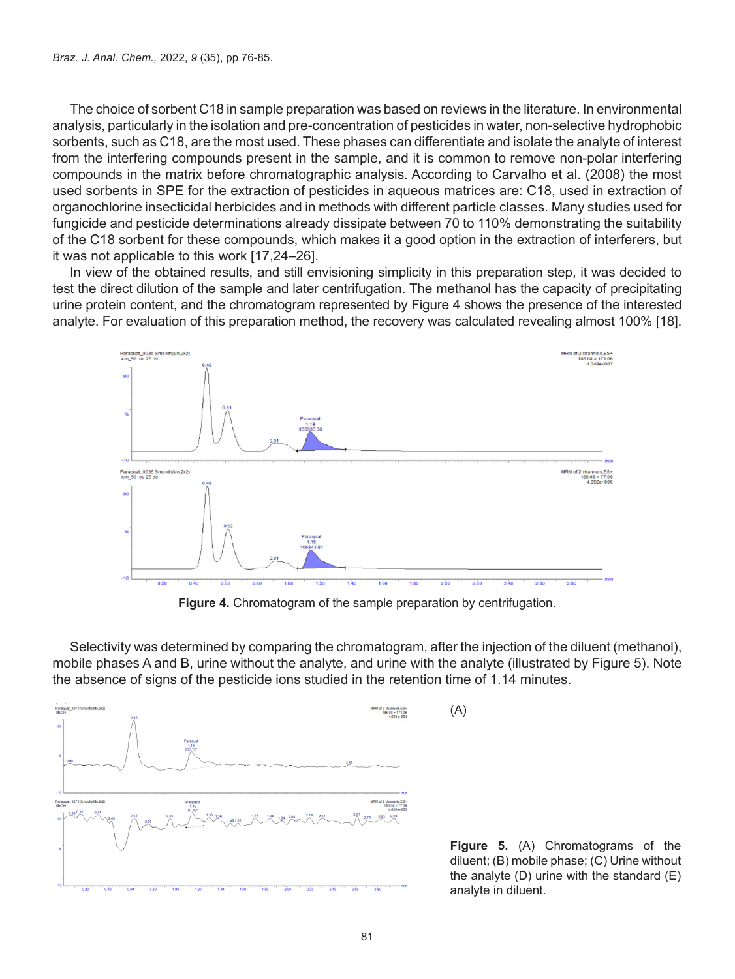The choice of sorbent C18 in sample preparation was based on reviews in the literature. In environmental analysis, particularly in the isolation and pre-concentration of pesticides in water, non-selective hydrophobic sorbents, such as C18, are the most used. These phases can differentiate and isolate the analyte of interest from the interfering compounds present in the sample, and it is common to remove non-polar interfering compounds in the matrix before chromatographic analysis. According to Carvalho et al. (2008) the most used sorbents in SPE for the extraction of pesticides in aqueous matrices are: C18, used in extraction of organochlorine insecticidal herbicides and in methods with different particle classes. Many studies used for fungicide and pesticide determinations already dissipate between 70 to 110% demonstrating the suitability of the C18 sorbent for these compounds, which makes it a good option in the extraction of interferers, but it was not applicable to this work [17,24–26].

In view of the obtained results, and still envisioning simplicity in this preparation step, it was decided to test the direct dilution of the sample and later centrifugation. The methanol has the capacity of precipitating urine protein content, and the chromatogram represented by Figure 4 shows the presence of the interested analyte. For evaluation of this preparation method, the recovery was calculated revealing almost 100% [18].

![](_page_5_Figure_3.jpeg)

Figure 4. Chromatogram of the sample preparation by centrifugation.

Selectivity was determined by comparing the chromatogram, after the injection of the diluent (methanol), mobile phases A and B, urine without the analyte, and urine with the analyte (illustrated by Figure 5). Note the absence of signs of the pesticide ions studied in the retention time of 1.14 minutes.

(A)

![](_page_5_Figure_6.jpeg)

**Figure 5.** (A) Chromatograms of the diluent; (B) mobile phase; (C) Urine without the analyte  $(D)$  urine with the standard  $(E)$ analyte in diluent.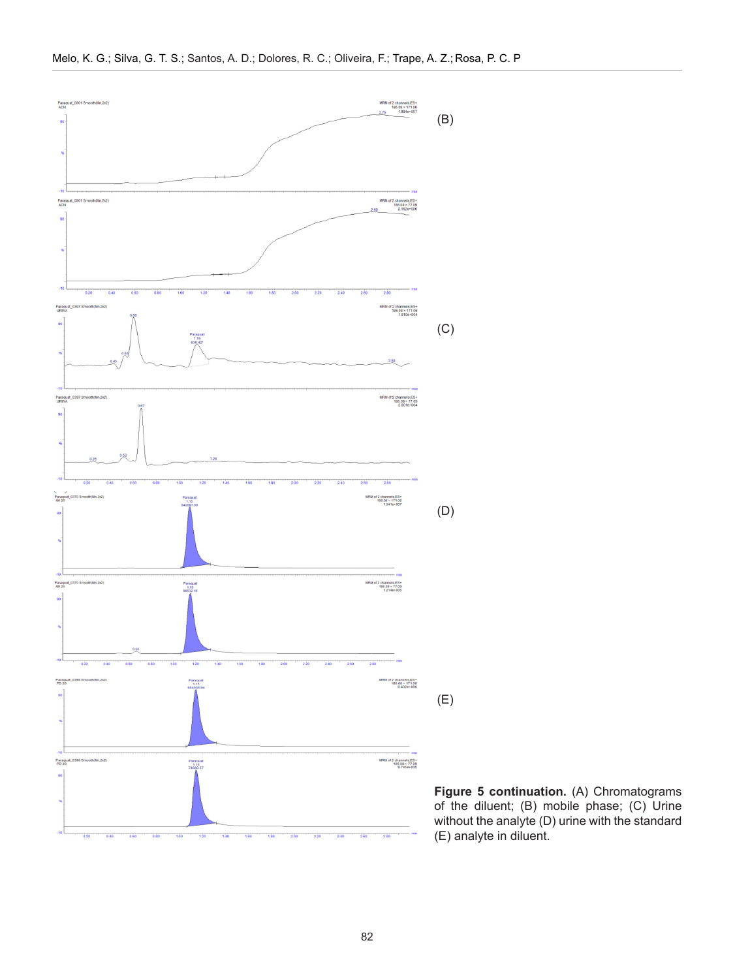![](_page_6_Figure_1.jpeg)

**Figure 5 continuation.** (A) Chromatograms of the diluent; (B) mobile phase; (C) Urine without the analyte (D) urine with the standard (E) analyte in diluent.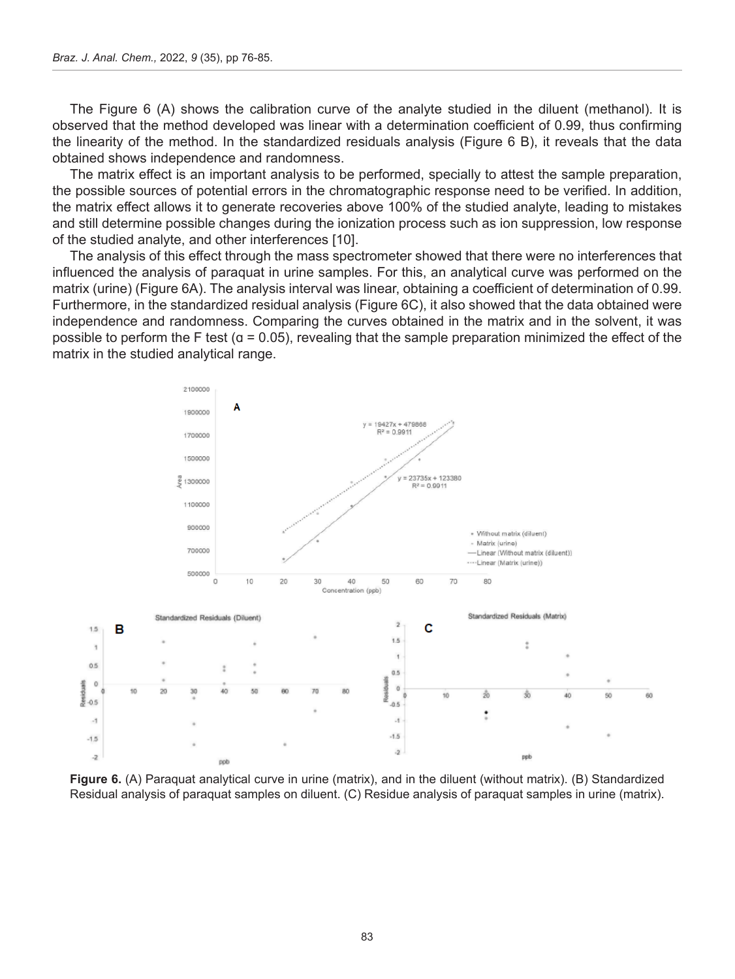The Figure 6 (A) shows the calibration curve of the analyte studied in the diluent (methanol). It is observed that the method developed was linear with a determination coefficient of 0.99, thus confirming the linearity of the method. In the standardized residuals analysis (Figure 6 B), it reveals that the data obtained shows independence and randomness.

The matrix effect is an important analysis to be performed, specially to attest the sample preparation, the possible sources of potential errors in the chromatographic response need to be verified. In addition, the matrix effect allows it to generate recoveries above 100% of the studied analyte, leading to mistakes and still determine possible changes during the ionization process such as ion suppression, low response of the studied analyte, and other interferences [10].

The analysis of this effect through the mass spectrometer showed that there were no interferences that influenced the analysis of paraquat in urine samples. For this, an analytical curve was performed on the matrix (urine) (Figure 6A). The analysis interval was linear, obtaining a coefficient of determination of 0.99. Furthermore, in the standardized residual analysis (Figure 6C), it also showed that the data obtained were independence and randomness. Comparing the curves obtained in the matrix and in the solvent, it was possible to perform the F test ( $q = 0.05$ ), revealing that the sample preparation minimized the effect of the matrix in the studied analytical range.

![](_page_7_Figure_4.jpeg)

**Figure 6.** (A) Paraquat analytical curve in urine (matrix), and in the diluent (without matrix). (B) Standardized Residual analysis of paraquat samples on diluent. (C) Residue analysis of paraquat samples in urine (matrix).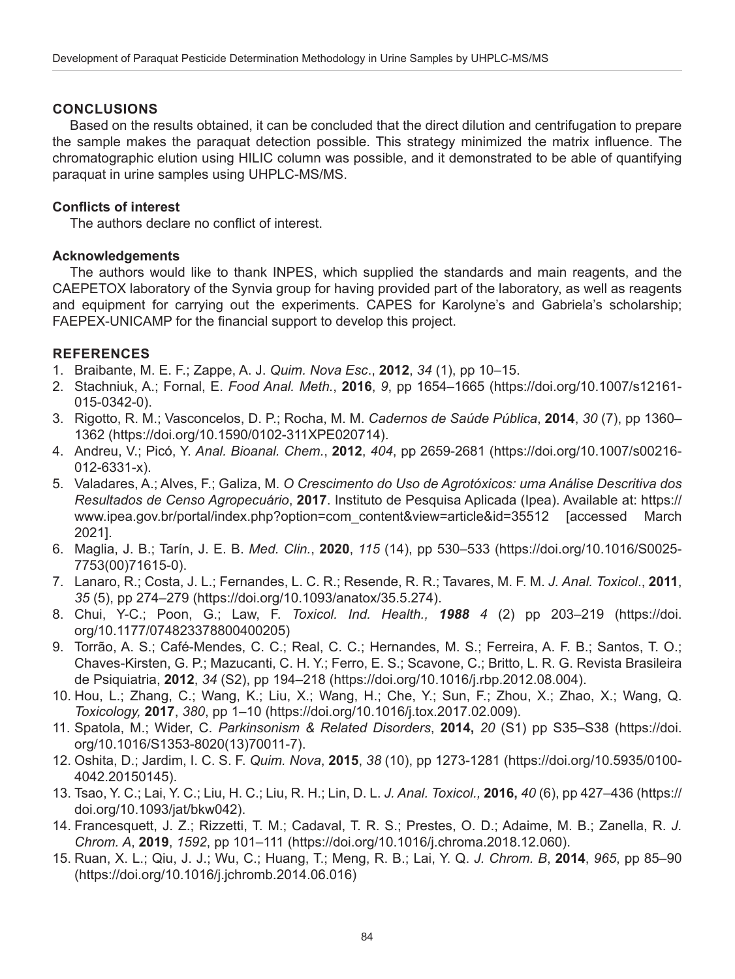## **CONCLUSIONS**

Based on the results obtained, it can be concluded that the direct dilution and centrifugation to prepare the sample makes the paraquat detection possible. This strategy minimized the matrix influence. The chromatographic elution using HILIC column was possible, and it demonstrated to be able of quantifying paraquat in urine samples using UHPLC-MS/MS.

## **Conflicts of interest**

The authors declare no conflict of interest.

## **Acknowledgements**

The authors would like to thank INPES, which supplied the standards and main reagents, and the CAEPETOX laboratory of the Synvia group for having provided part of the laboratory, as well as reagents and equipment for carrying out the experiments. CAPES for Karolyne's and Gabriela's scholarship; FAEPEX-UNICAMP for the financial support to develop this project.

# **REFERENCES**

- 1. Braibante, M. E. F.; Zappe, A. J. *Quim. Nova Esc*., **2012**, *34* (1), pp 10–15.
- 2. Stachniuk, A.; Fornal, E. *Food Anal. Meth.*, **2016**, *9*, pp 1654–1665 (https://doi.org/10.1007/s12161- 015-0342-0).
- 3. Rigotto, R. M.; Vasconcelos, D. P.; Rocha, M. M. *Cadernos de Saúde Pública*, **2014**, *30* (7), pp 1360– 1362 (https://doi.org/10.1590/0102-311XPE020714).
- 4. Andreu, V.; Picó, Y. *Anal. Bioanal. Chem.*, **2012**, *404*, pp 2659-2681 (https://doi.org/10.1007/s00216- 012-6331-x).
- 5. Valadares, A.; Alves, F.; Galiza, M. *O Crescimento do Uso de Agrotóxicos: uma Análise Descritiva dos Resultados de Censo Agropecuário*, **2017**. Instituto de Pesquisa Aplicada (Ipea). Available at: [https://](https://www.ipea.gov.br/portal/index.php?option=com_content&view=article&id=35512) [www.ipea.gov.br/portal/index.php?option=com\\_content&view=article&id=35512](https://www.ipea.gov.br/portal/index.php?option=com_content&view=article&id=35512) [accessed March 2021].
- 6. Maglia, J. B.; Tarín, J. E. B. *Med. Clin.*, **2020**, *115* (14), pp 530–533 ([https://doi.org/10.1016/S0025-](https://doi.org/10.1016/S0025-7753(00)71615-0) [7753\(00\)71615-0\)](https://doi.org/10.1016/S0025-7753(00)71615-0).
- 7. Lanaro, R.; Costa, J. L.; Fernandes, L. C. R.; Resende, R. R.; Tavares, M. F. M. *J. Anal. Toxicol*., **2011**, *35* (5), pp 274–279 (https://doi.org/10.1093/anatox/35.5.274).
- 8. Chui, Y-C.; Poon, G.; Law, F. *Toxicol. Ind. Health., 1988 4* (2) pp 203–219 (https://doi. org/10.1177/074823378800400205)
- 9. Torrão, A. S.; Café-Mendes, C. C.; Real, C. C.; Hernandes, M. S.; Ferreira, A. F. B.; Santos, T. O.; Chaves-Kirsten, G. P.; Mazucanti, C. H. Y.; Ferro, E. S.; Scavone, C.; Britto, L. R. G. Revista Brasileira de Psiquiatria, **2012**, *34* (S2), pp 194–218 (https://doi.org/10.1016/j.rbp.2012.08.004).
- 10. Hou, L.; Zhang, C.; Wang, K.; Liu, X.; Wang, H.; Che, Y.; Sun, F.; Zhou, X.; Zhao, X.; Wang, Q. *Toxicology,* **2017**, *380*, pp 1–10 (https://doi.org/10.1016/j.tox.2017.02.009).
- 11. Spatola, M.; Wider, C. *Parkinsonism & Related Disorders*, **2014,** *20* (S1) pp S35–S38 ([https://doi.](https://doi.org/10.1016/S1353-8020(13)70011-7) [org/10.1016/S1353-8020\(13\)70011-7](https://doi.org/10.1016/S1353-8020(13)70011-7)).
- 12. Oshita, D.; Jardim, I. C. S. F. *Quim. Nova*, **2015**, *38* (10), pp 1273-1281 (https://doi.org/10.5935/0100- 4042.20150145).
- 13. Tsao, Y. C.; Lai, Y. C.; Liu, H. C.; Liu, R. H.; Lin, D. L. *J. Anal. Toxicol.,* **2016,** *40* (6), pp 427–436 (https:// doi.org/10.1093/jat/bkw042).
- 14. Francesquett, J. Z.; Rizzetti, T. M.; Cadaval, T. R. S.; Prestes, O. D.; Adaime, M. B.; Zanella, R. *J. Chrom. A*, **2019**, *1592*, pp 101–111 (https://doi.org/10.1016/j.chroma.2018.12.060).
- 15. Ruan, X. L.; Qiu, J. J.; Wu, C.; Huang, T.; Meng, R. B.; Lai, Y. Q. *J. Chrom. B*, **2014**, *965*, pp 85–90 (https://doi.org/10.1016/j.jchromb.2014.06.016)